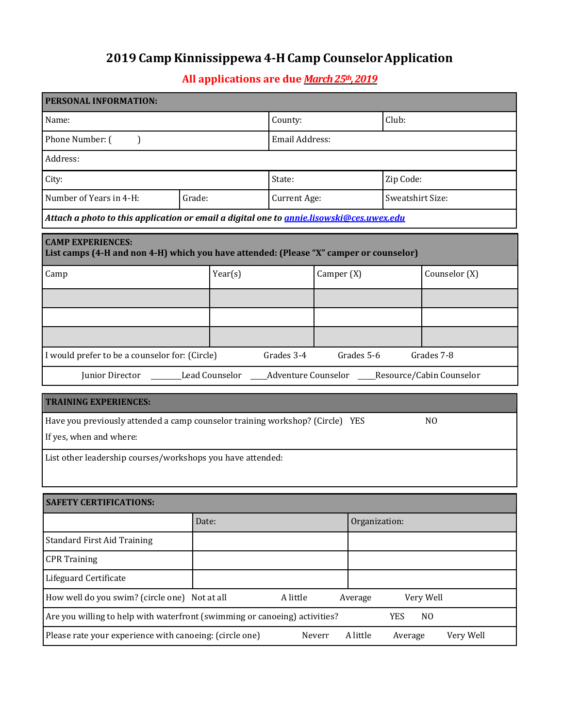## **2019 Camp Kinnissippewa 4-H Camp CounselorApplication**

## **All applications are due** *March 25th,2019*

| PERSONAL INFORMATION:                                                                                              |         |                |               |                  |               |  |
|--------------------------------------------------------------------------------------------------------------------|---------|----------------|---------------|------------------|---------------|--|
| Name:                                                                                                              |         |                |               | Club:            |               |  |
| Phone Number: (<br>$\mathcal{L}$                                                                                   |         | Email Address: |               |                  |               |  |
| Address:                                                                                                           |         |                |               |                  |               |  |
| City:                                                                                                              |         | State:         |               |                  | Zip Code:     |  |
| Number of Years in 4-H:                                                                                            | Grade:  | Current Age:   |               | Sweatshirt Size: |               |  |
| Attach a photo to this application or email a digital one to <i>annie.lisowski@ces.uwex.edu</i>                    |         |                |               |                  |               |  |
| <b>CAMP EXPERIENCES:</b><br>List camps (4-H and non 4-H) which you have attended: (Please "X" camper or counselor) |         |                |               |                  |               |  |
| Camp                                                                                                               | Year(s) | Camper (X)     |               |                  | Counselor (X) |  |
|                                                                                                                    |         |                |               |                  |               |  |
|                                                                                                                    |         |                |               |                  |               |  |
|                                                                                                                    |         |                |               |                  |               |  |
| I would prefer to be a counselor for: (Circle)                                                                     |         | Grades 3-4     | Grades 5-6    | Grades 7-8       |               |  |
| Junior Director ________Lead Counselor ______Adventure Counselor _____Resource/Cabin Counselor                     |         |                |               |                  |               |  |
| <b>TRAINING EXPERIENCES:</b>                                                                                       |         |                |               |                  |               |  |
| Have you previously attended a camp counselor training workshop? (Circle) YES                                      |         |                |               | N <sub>0</sub>   |               |  |
| If yes, when and where:                                                                                            |         |                |               |                  |               |  |
| List other leadership courses/workshops you have attended:                                                         |         |                |               |                  |               |  |
|                                                                                                                    |         |                |               |                  |               |  |
| <b>SAFETY CERTIFICATIONS:</b>                                                                                      |         |                |               |                  |               |  |
|                                                                                                                    | Date:   |                | Organization: |                  |               |  |
| <b>Standard First Aid Training</b>                                                                                 |         |                |               |                  |               |  |
| <b>CPR Training</b>                                                                                                |         |                |               |                  |               |  |
| Lifeguard Certificate                                                                                              |         |                |               |                  |               |  |
| How well do you swim? (circle one) Not at all<br>A little<br>Very Well<br>Average                                  |         |                |               |                  |               |  |
| Are you willing to help with waterfront (swimming or canoeing) activities?<br><b>YES</b><br>N <sub>0</sub>         |         |                |               |                  |               |  |
| Please rate your experience with canoeing: (circle one)<br>A little<br>Very Well<br>Neverr<br>Average              |         |                |               |                  |               |  |